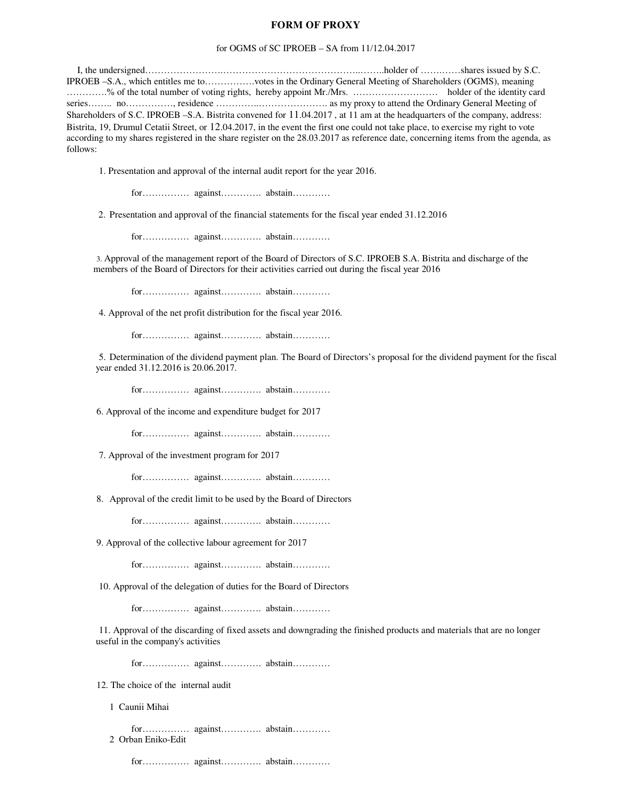## **FORM OF PROXY**

## for OGMS of SC IPROEB – SA from 11/12.04.2017

I, the undersigned…………………….……………………………………..……..holder of …….……shares issued by S.C. IPROEB –S.A., which entitles me to…………….votes in the Ordinary General Meeting of Shareholders (OGMS), meaning ………….% of the total number of voting rights, hereby appoint Mr./Mrs. ……………………… holder of the identity card series……… no……………, residence …………………………………… as my proxy to attend the Ordinary General Meeting of Shareholders of S.C. IPROEB –S.A. Bistrita convened for 11.04.2017 , at 11 am at the headquarters of the company, address: Bistrita, 19, Drumul Cetatii Street, or 12.04.2017, in the event the first one could not take place, to exercise my right to vote according to my shares registered in the share register on the 28.03.2017 as reference date, concerning items from the agenda, as follows:

1. Presentation and approval of the internal audit report for the year 2016.

for…………… against…………. abstain…………

2. Presentation and approval of the financial statements for the fiscal year ended 31.12.2016

for…………… against…………. abstain…………

3. Approval of the management report of the Board of Directors of S.C. IPROEB S.A. Bistrita and discharge of the members of the Board of Directors for their activities carried out during the fiscal year 2016

for…………… against…………. abstain…………

4. Approval of the net profit distribution for the fiscal year 2016.

for…………… against…………. abstain…………

5. Determination of the dividend payment plan. The Board of Directors's proposal for the dividend payment for the fiscal year ended 31.12.2016 is 20.06.2017.

for…………… against…………. abstain…………

6. Approval of the income and expenditure budget for 2017

for…………… against…………. abstain…………

7. Approval of the investment program for 2017

for…………… against…………. abstain…………

8. Approval of the credit limit to be used by the Board of Directors

for…………… against…………. abstain…………

9. Approval of the collective labour agreement for 2017

for…………… against…………. abstain…………

10. Approval of the delegation of duties for the Board of Directors

for…………… against…………. abstain…………

11. Approval of the discarding of fixed assets and downgrading the finished products and materials that are no longer useful in the company's activities

for…………… against…………. abstain…………

12. The choice of the internal audit

1 Caunii Mihai

for…………… against…………. abstain………… 2 Orban Eniko-Edit

for…………… against…………. abstain…………